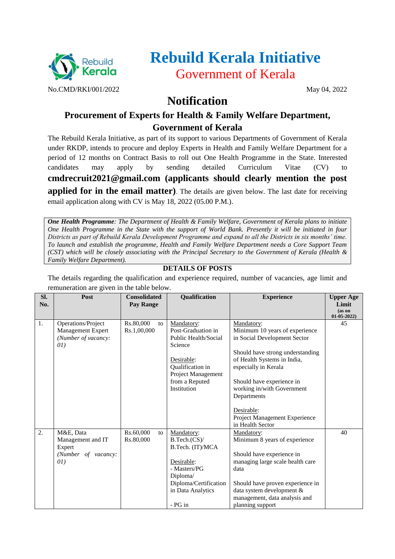

# **Rebuild Kerala Initiative** Government of Kerala

## **Notification**

## **Procurement of Experts for Health & Family Welfare Department, Government of Kerala**

The Rebuild Kerala Initiative, as part of its support to various Departments of Government of Kerala under RKDP, intends to procure and deploy Experts in Health and Family Welfare Department for a period of 12 months on Contract Basis to roll out One Health Programme in the State. Interested candidates may apply by sending detailed Curriculum Vitae (CV) to **cmdrecruit2021@gmail.com (applicants should clearly mention the post applied for in the email matter)**. The details are given below. The last date for receiving email application along with CV is May 18, 2022 (05.00 P.M.).

*One Health Programme: The Department of Health & Family Welfare, Government of Kerala plans to initiate One Health Programme in the State with the support of World Bank. Presently it will be initiated in four Districts as part of Rebuild Kerala Development Programme and expand to all the Districts in six months' time. To launch and establish the programme, Health and Family Welfare Department needs a Core Support Team (CST) which will be closely associating with the Principal Secretary to the Government of Kerala (Health & Family Welfare Department).*

### **DETAILS OF POSTS**

The details regarding the qualification and experience required, number of vacancies, age limit and remuneration are given in the table below.

| SI.<br>No. | Post                                                                    | <b>Consolidated</b><br>Pay Range | Qualification                                                                                                                                                | <b>Experience</b>                                                                                                                                                                                                                                 | <b>Upper Age</b><br>Limit<br>(as on<br>$01-05-2022$ |
|------------|-------------------------------------------------------------------------|----------------------------------|--------------------------------------------------------------------------------------------------------------------------------------------------------------|---------------------------------------------------------------------------------------------------------------------------------------------------------------------------------------------------------------------------------------------------|-----------------------------------------------------|
| 1.         | Operations/Project<br>Management Expert<br>(Number of vacancy:<br>(01)  | Rs.80,000<br>to<br>Rs.1,00,000   | Mandatory:<br>Post-Graduation in<br>Public Health/Social<br>Science<br>Desirable:<br>Qualification in<br>Project Management<br>from a Reputed<br>Institution | Mandatory:<br>Minimum 10 years of experience<br>in Social Development Sector<br>Should have strong understanding<br>of Health Systems in India,<br>especially in Kerala<br>Should have experience in<br>working in/with Government<br>Departments | 45                                                  |
|            |                                                                         |                                  |                                                                                                                                                              | Desirable:<br>Project Management Experience<br>in Health Sector                                                                                                                                                                                   |                                                     |
| 2.         | M&E, Data<br>Management and IT<br>Expert<br>(Number of vacancy:<br>(01) | Rs.60,000<br>to<br>Rs.80,000     | Mandatory:<br>B.Tech.(CS)<br>B.Tech. (IT)/MCA<br>Desirable:<br>- Masters/PG<br>Diploma/<br>Diploma/Certification<br>in Data Analytics<br>$-PG$ in            | Mandatory:<br>Minimum 8 years of experience<br>Should have experience in<br>managing large scale health care<br>data<br>Should have proven experience in<br>data system development &<br>management, data analysis and<br>planning support        | 40                                                  |